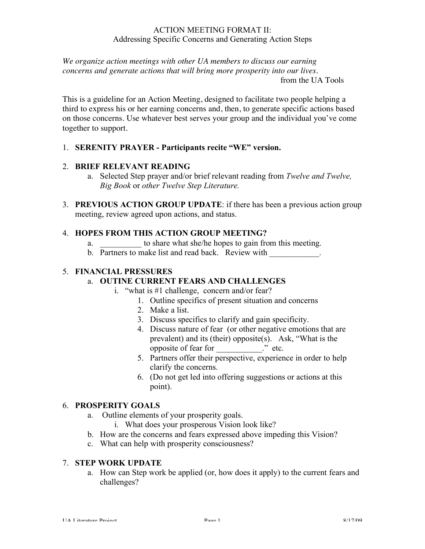#### ACTION MEETING FORMAT II: Addressing Specific Concerns and Generating Action Steps

*We organize action meetings with other UA members to discuss our earning concerns and generate actions that will bring more prosperity into our lives.*

from the UA Tools

This is a guideline for an Action Meeting, designed to facilitate two people helping a third to express his or her earning concerns and, then, to generate specific actions based on those concerns. Use whatever best serves your group and the individual you've come together to support.

# 1. **SERENITY PRAYER - Participants recite "WE" version.**

# 2. **BRIEF RELEVANT READING**

- a. Selected Step prayer and/or brief relevant reading from *Twelve and Twelve, Big Book* or *other Twelve Step Literature.*
- 3. **PREVIOUS ACTION GROUP UPDATE**: if there has been a previous action group meeting, review agreed upon actions, and status.

# 4. **HOPES FROM THIS ACTION GROUP MEETING?**

- a.  $\frac{1}{2}$  to share what she/he hopes to gain from this meeting.
- b. Partners to make list and read back. Review with  $\blacksquare$

### 5. **FINANCIAL PRESSURES**

# a. **OUTINE CURRENT FEARS AND CHALLENGES**

- i. "what is #1 challenge, concern and/or fear?
	- 1. Outline specifics of present situation and concerns
	- 2. Make a list.
	- 3. Discuss specifics to clarify and gain specificity.
	- 4. Discuss nature of fear (or other negative emotions that are prevalent) and its (their) opposite(s). Ask, "What is the opposite of fear for \_\_\_\_\_\_\_\_\_\_\_." etc.
	- 5. Partners offer their perspective, experience in order to help clarify the concerns.
	- 6. (Do not get led into offering suggestions or actions at this point).

### 6. **PROSPERITY GOALS**

- a. Outline elements of your prosperity goals.
	- i. What does your prosperous Vision look like?
- b. How are the concerns and fears expressed above impeding this Vision?
- c. What can help with prosperity consciousness?

### 7. **STEP WORK UPDATE**

a. How can Step work be applied (or, how does it apply) to the current fears and challenges?